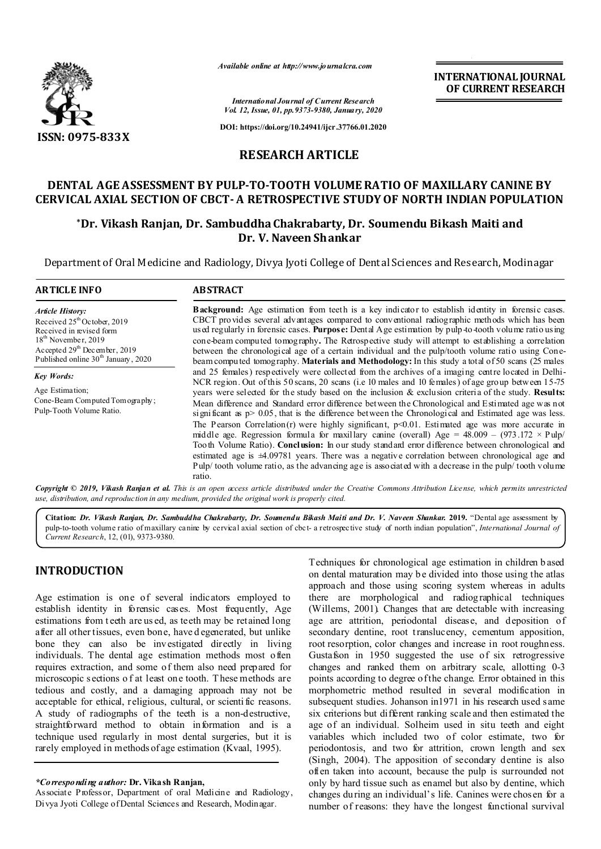

*Available online at http://www.journalcra.com*

**INTERNATIONAL JOURNAL OF CURRENT RESEARCH**

*International Journal of Current Research Vol. 12, Issue, 01, pp.9373-9380, January, 2020*

**DOI: https://doi.org/10.24941/ijcr.37766.01.2020**

## **RESEARCH ARTICLE**

## **DENTAL AGE ASSESSMENT BY PULP-TO-TOOTH VOLUME RATIO OF MAXILLARY CANINE BY CERVICAL AXIAL SECTION OF CBCT-A RETROSPECTIVE STUDY OF NORTH INDIAN POPULATION**

## **\*Dr. Vikash Ranjan, Dr. Sambuddha Chakrabarty, Dr. Soumendu Bikash Maiti and Dr. V. Naveen Shankar**

Department of Oral Medicine and Radiology, Divya Jyoti College of Dent al Sciences and Research, Modinagar

### **ARTICLE INFO ABSTRACT** Background: Age estimation from teeth is a key indicator to establish identity in forensic cases. *Article History:*

Received  $25<sup>th</sup>$ October, 2019 Received in revised form 18<sup>th</sup> November, 2019 Accepted  $29<sup>th</sup>$  December, 2019 Published online 30<sup>th</sup> January, 2020

*Key Words:* Age Estimation; Cone-Beam Computed Tomography; Pulp-Tooth Volume Ratio.

CBCT provides several advantages compared to conventional radiographic methods which has been used regularly in forensic cases. **Purpose:** Dental Age estimation by pulp-to-tooth volume ratio using cone-beam computed tomography**.** The Retrospective study will attempt to establishing a correlation between the chronological age of a certain individual and the pulp/tooth volume ratio using Conebeam computed tomography. **Materials and Methodology:** In this study a total of 50 scans (25 males and 25 females) respectively were collected from the archives of a imaging centre located in Delhi-NCR region. Out of this 50 scans, 20 scans (i.e 10 males and 10 females) of age group between 15-75 years were selected for the study based on the inclusion & exclusion criteria of the study. **Results:** Mean difference and Standard error difference between the Chronological and Estimated age was not significant as  $p > 0.05$ , that is the difference between the Chronological and Estimated age was less. The Pearson Correlation(r) were highly significant,  $p \le 0.01$ . Estimated age was more accurate in middle age. Regression formula for maxillary canine (overall) Age =  $48.009 - (973.172 \times \text{Pulp}/$ Tooth Volume Ratio). **Conclusion:** In our study standard error difference between chronological and estimated age is ±4.09781 years. There was a negative correlation between chronological age and Pulp/ tooth volume ratio, as the advancing age is associated with a decrease in the pulp/ tooth volume ratio.

Copyright © 2019, Vikash Ranjan et al. This is an open access article distributed under the Creative Commons Attribution License, which permits unrestricted *use, distribution, and reproduction in any medium, provided the original work is properly cited.*

**Citation:** *Dr. Vikash Ranjan, Dr. Sambuddha Chakrabarty, Dr. Soumendu Bikash Maiti and Dr. V. Naveen Shankar.* **2019.** "Dental age assessment by pulp-to-tooth volume ratio of maxillary canine by cervical axial section of cbct- a retrospective study of north indian population", *International Journal of Current Research*, 12, (01), 9373-9380.

# **INTRODUCTION**

Age estimation is one of several indicators employed to establish identity in forensic cases. Most frequently, Age estimations from t eeth are us ed, as teeth may be retained long after all other tissues, even bone, have d egenerated, but unlike bone they can also be investigated directly in living individuals. The dental age estimation methods most often requires extraction, and some of them also need prepared for microscopic s ections o f at least one tooth. T hese methods are tedious and costly, and a damaging approach may not be acceptable for ethical, religious, cultural, or scienti fic reasons. A study of radiographs of the teeth is a non-destructive, straightforward method to obtain information and is a technique used regularly in most dental surgeries, but it is rarely employed in methods of age estimation (Kvaal, 1995).

Associate Professor, Department of oral Medicine and Radiology, Divya Jyoti College of Dental Sciences and Research, Modinagar.

Techniques for chronological age estimation in children b ased on dental maturation may be divided into those using the atlas approach and those using scoring system whereas in adults there are morphological and radiographical techniques (Willems, 2001). Changes that are detectable with increasing age are attrition, periodontal disease, and deposition of secondary dentine, root translucency, cementum apposition, root resorption, color changes and increase in root roughness. Gustafson in 1950 suggested the use of six retrogressive changes and ranked them on arbitrary scale, allotting 0-3 points according to degree of the change. Error obtained in this morphometric method resulted in several modification in subsequent studies. Johanson in1971 in his research used same six criterions but different ranking scale and then estimated the age of an individual. Solheim used in situ teeth and eight variables which included two of color estimate, two for periodontosis, and two for attrition, crown length and sex (Singh, 2004). The apposition of secondary dentine is also often taken into account, because the pulp is surrounded not only by hard tissue such as enamel but also by dentine, which changes during an individual's life. Canines were chosen for a number of reasons: they have the longest functional survival

*<sup>\*</sup>Corresponding author:* **Dr. Vikash Ranjan,**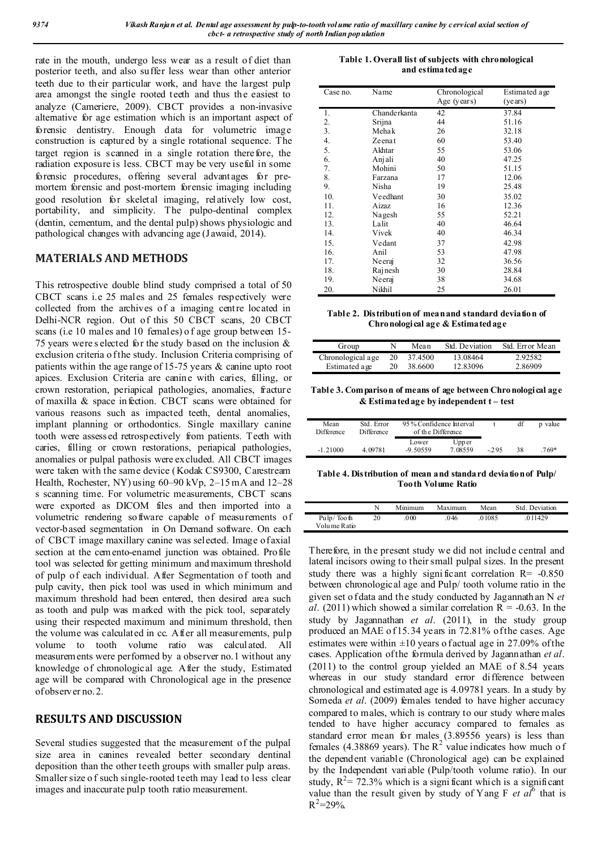rate in the mouth, undergo less wear as a result of diet than posterior teeth, and also suffer less wear than other anterior teeth due to their particular work, and have the largest pulp area amongst the single rooted teeth and thus the easiest to analyze (Cameriere, 2009). CBCT provides a non-invasive alternative for age estimation which is an important aspect of forensic dentistry. Enough data for volumetric image construction is captured by a single rotational sequence. The target region is scanned in a single rotation therefore, the radiation exposure is less. CBCT may be very useful in some forensic procedures, offering several advantages for premortem forensic and post-mortem forensic imaging including good resolution for skeletal imaging, relatively low cost, portability, and simplicity. The pulpo-dentinal complex (dentin, cementum, and the dental pulp) shows physiologic and pathological changes with advancing age (Jawaid, 2014).

## **MATERIALS AND METHODS**

This retrospective double blind study comprised a total of 50 CBCT scans i.e 25 males and 25 females respectively were collected from the archives of a imaging centre located in Delhi-NCR region. Out of this 50 CBCT scans, 20 CBCT scans (i.e 10 males and 10 females) o f age group between 15- 75 years were s elected for the study based on the inclusion & exclusion criteria o f the study. Inclusion Criteria comprising of patients within the age range of 15-75 years & canine upto root apices. Exclusion Criteria are canine with caries, filling, or crown restoration, periapical pathologies, anomalies, fracture of maxilla & space infection. CBCT scans were obtained for various reasons such as impacted teeth, dental anomalies, implant planning or orthodontics. Single maxillary canine tooth were assessed retrospectively from patients. Teeth with caries, filling or crown restorations, periapical pathologies, anomalies or pulpal pathosis were excluded. All CBCT images were taken with the same device (Kodak CS9300, Carestream Health, Rochester, NY) using 60–90 kVp, 2–15 mA and 12–28 s scanning time. For volumetric measurements, CBCT scans were exported as DICOM files and then imported into a volumetric rendering software capable of measurements of vector-based segmentation in On Demand software. On each of CBCT image maxillary canine was selected. Image of axial section at the cemento-enamel junction was obtained. Profile tool was selected for getting minimum and maximum threshold of pulp of each individual. After Segmentation of tooth and pulp cavity, then pick tool was used in which minimum and maximum threshold had been entered, then desired area such as tooth and pulp was marked with the pick tool, separately using their respected maximum and minimum threshold, then the volume was calculated in cc. After all measurements, pulp volume to tooth volume ratio was calculated. All measurements were performed by a observer no.1 without any knowledge of chronological age. After the study, Estimated age will be compared with Chronological age in the presence of observer no.2.

## **RESULTS AND DISCUSSION**

Several studies suggested that the measurement of the pulpal size area in canines revealed better secondary dentinal deposition than the other teeth groups with smaller pulp areas. Smaller size o f such single-rooted teeth may lead to less clear images and inaccurate pulp tooth ratio measurement.

**Table 1. Overall list of subjects with chronological and estimated age**

| Case no. | Name         | Chronological | Estimated age |
|----------|--------------|---------------|---------------|
|          |              | Age (years)   | (years)       |
| 1.       | Chanderkanta | 42            | 37.84         |
| 2.       | Srijna       | 44            | 51.16         |
| 3.       | Mehak        | 26            | 32.18         |
| 4.       | Zeenat       | 60            | 53.40         |
| 5.       | Akhtar       | 55            | 53.06         |
| 6.       | Anjali       | 40            | 47.25         |
| 7.       | Mohini       | 50            | 51.15         |
| 8.       | Farzana      | 17            | 12.06         |
| 9.       | Nisha        | 19            | 25.48         |
| 10.      | Veedhant     | 30            | 35.02         |
| 11.      | Aizaz        | 16            | 12.36         |
| 12.      | Nagesh       | 55            | 52.21         |
| 13.      | Lalit        | 40            | 46.64         |
| 14.      | Vivek        | 40            | 46.34         |
| 15.      | Vedant       | 37            | 42.98         |
| 16.      | Anil         | 53            | 47.98         |
| 17.      | Neeraj       | 32            | 36.56         |
| 18.      | Rajnesh      | 30            | 28.84         |
| 19.      | Neeraj       | 38            | 34.68         |
| 20.      | Nikhil       | 25            | 26.01         |

**Table 2. Distribution of mean and standard deviation of Chronological age & Estimated age**

| Group             | N  | Mean    | Std. Deviation | Std. Error Mean |
|-------------------|----|---------|----------------|-----------------|
| Chronological age | 20 | 37.4500 | 13.08464       | 2.92582         |
| Estimated age     | 20 | 38.6600 | 12.83096       | 2.86909         |

**Table 3. Comparison of means of age between Chronological age & Estimated age by independent t – test**

| Mean<br>Difference | Std. Error<br>Difference | 95% Confidence Interval<br>of the Difference |                   |        | df | p value |
|--------------------|--------------------------|----------------------------------------------|-------------------|--------|----|---------|
| $-1.21000$         | 4.09781                  | Lower<br>$-9.50559$                          | Upp er<br>7.08559 | $-295$ | 38 | $.769*$ |

**Table 4. Distribution of mean and standard deviation of Pulp/ Tooth Volume Ratio**

|                            |    | Minimum | Maximum | Mean   | Std. Deviation |
|----------------------------|----|---------|---------|--------|----------------|
| Pulp/Tooth<br>Volume Ratio | 20 | 000.    | .046    | .01085 | .011429        |

Therefore, in the present study we did not include central and lateral incisors owing to their small pulpal sizes. In the present study there was a highly significant correlation  $R = -0.850$ between chronological age and Pulp/ tooth volume ratio in the given set o f data and the study conducted by Jagannathan N *et al.* (2011) which showed a similar correlation  $R = -0.63$ . In the study by Jagannathan *et al*. (2011), in the study group produced an MAE o f 15.34 years in 72.81% of the cases. Age estimates were within  $\pm 10$  years o factual age in 27.09% of the cases. Application of the formula derived by Jagannathan *et al*. (2011) to the control group yielded an MAE of 8.54 years whereas in our study standard error difference between chronological and estimated age is 4.09781 years. In a study by Someda *et al.* (2009) females tended to have higher accuracy compared to males, which is contrary to our study where males tended to have higher accuracy compared to females as standard error mean for males (3.89556 years) is less than standard error mean *bi* mates (3.83388)  $\frac{1}{2}$  value indicates how much of the dependent variable (Chronological age) can be explained by the Independent variable (Pulp/tooth volume ratio). In our study,  $R^2 = 72.3\%$  which is a significant which is a significant value than the result given by study of Yang F  $et\ a\overline{l}^6$  that is  $R^2 = 29\%$ .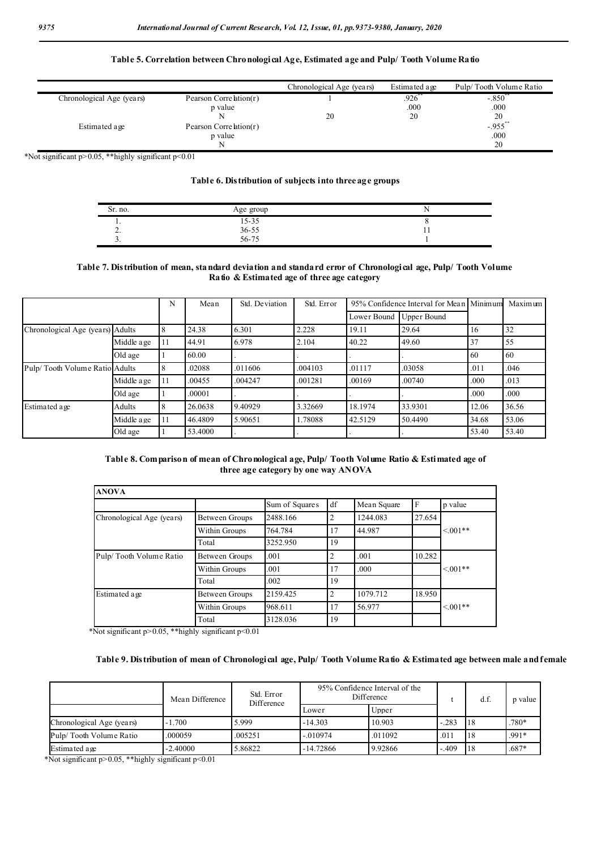### **Table 5. Correlation between Chronological Age, Estimated age and Pulp/ Tooth Volume Ratio**

|                           |                        | Chronological Age (years) | Estimated age | Pulp/Tooth Volume Ratio |
|---------------------------|------------------------|---------------------------|---------------|-------------------------|
| Chronological Age (years) | Pearson Correlation(r) |                           | .926          | $-.850°$                |
|                           | p value                |                           | .000          | .000                    |
|                           |                        | 20                        | 20            | 20                      |
| Estimated age             | Pearson Correlation(r) |                           |               | $-.955$ **              |
|                           | p value                |                           |               | .000                    |
|                           |                        |                           |               | 20                      |

\*Not significant p>0.05, \*\*highly significant p<0.01

#### **Table 6. Distribution of subjects into three age groups**

| Sr. no.  | Age group                      |     |
|----------|--------------------------------|-----|
| . .      |                                |     |
| <u>.</u> |                                | . . |
| <u>.</u> | $\frac{15-35}{36-55}$<br>56-75 |     |

### **Table 7. Distribution of mean, standard deviation and standard error of Chronological age, Pulp/ Tooth Volume Ratio & Estimated age of three age category**

|                                  |             | N   | Mean    | Std. Deviation | Std. Error | 95% Confidence Interval for Mean Minimum |                    |       | Maximum |
|----------------------------------|-------------|-----|---------|----------------|------------|------------------------------------------|--------------------|-------|---------|
|                                  |             |     |         |                |            | Lower Bound                              | <b>Upper Bound</b> |       |         |
| Chronological Age (years) Adults |             | 8   | 24.38   | 6.301          | 2.228      | 19.11                                    | 29.64              | 16    | 32      |
|                                  | Middle a ge | '11 | 44.91   | 6.978          | 2.104      | 40.22                                    | 49.60              | 37    | 55      |
|                                  | Old age     |     | 60.00   |                |            |                                          |                    | -60   | 60      |
| Pulp/Tooth Volume Ratio Adults   |             | 8   | .02088  | .011606        | .004103    | .01117                                   | .03058             | .011  | .046    |
|                                  | Middle age  | 11  | .00455  | .004247        | .001281    | .00169                                   | .00740             | .000  | .013    |
|                                  | Old age     |     | .00001  |                |            |                                          |                    | .000  | .000    |
| Estimated age                    | Adults      | 8   | 26.0638 | 9.40929        | 3.32669    | 18.1974                                  | 33.9301            | 12.06 | 36.56   |
|                                  | Middle a ge | 11  | 46.4809 | 5.90651        | 1.78088    | 42.5129                                  | 50.4490            | 34.68 | 53.06   |
|                                  | Old age     |     | 53.4000 |                |            |                                          |                    | 53.40 | 53.40   |

### **Table 8. Comparison of mean of Chronological age, Pulp/ Tooth Volume Ratio & Estimated age of three age category by one way ANOVA**

| <b>ANOVA</b>              |                |                |                |             |        |            |
|---------------------------|----------------|----------------|----------------|-------------|--------|------------|
|                           |                | Sum of Squares | df             | Mean Square | F      | p value    |
| Chronological Age (years) | Between Groups | 2488.166       | $\overline{2}$ | 1244.083    | 27.654 |            |
|                           | Within Groups  | 764.784        | 17             | 44.987      |        | $< 0.01**$ |
|                           | Total          | 3252.950       | 19             |             |        |            |
| Pulp/Tooth Volume Ratio   | Between Groups | .001           | 2              | .001        | 10.282 |            |
|                           | Within Groups  | .001           | 17             | .000        |        | $< 0.01**$ |
|                           | Total          | .002           | 19             |             |        |            |
| Estimated age             | Between Groups | 2159.425       | $\overline{2}$ | 1079.712    | 18.950 |            |
|                           | Within Groups  | 968.611        | 17             | 56.977      |        | $< 0.01**$ |
|                           | Total          | 3128.036       | 19             |             |        |            |

\*Not significant p>0.05, \*\*highly significant p<0.01

#### **Table 9. Distribution of mean of Chronological age, Pulp/ Tooth Volume Ratio & Estimated age between male and female**

|                           | Mean Difference | Std. Error<br>Difference |             | 95% Confidence Interval of the<br>Difference |         | d.f            | p value |
|---------------------------|-----------------|--------------------------|-------------|----------------------------------------------|---------|----------------|---------|
|                           |                 |                          | Lower       | Upper                                        |         |                |         |
| Chronological Age (years) | $-1.700$        | 5.999                    | $-14.303$   | 10.903                                       | $-.283$ | 118            | .780*   |
| Pulp/Tooth Volume Ratio   | .000059         | .005251                  | $-.010974$  | .011092                                      | .011    | <sup>118</sup> | $.991*$ |
| Estimated age             | $-2.40000$      | 5.86822                  | $-14.72866$ | 9.92866                                      | $-.409$ | <sup>118</sup> | $.687*$ |

\*Not significant p>0.05, \*\*highly significant p<0.01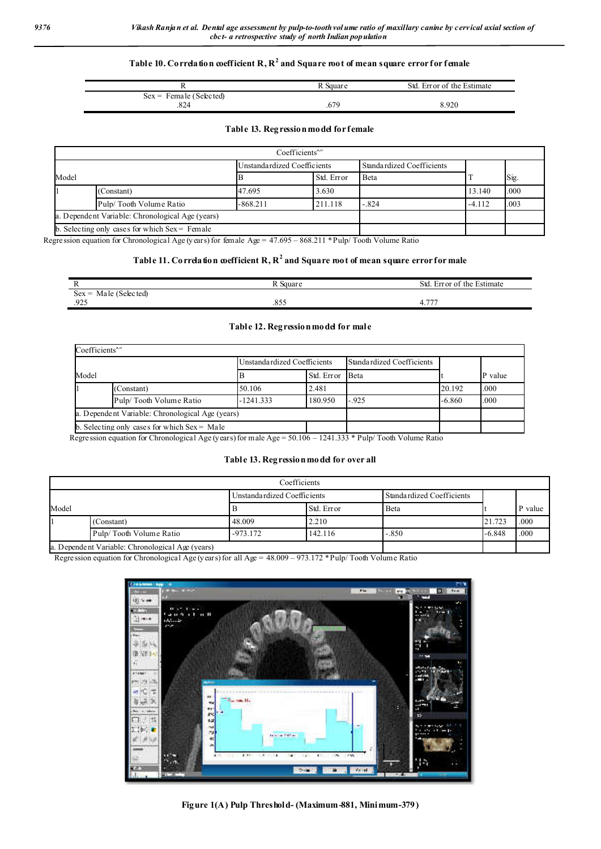#### **Table 10. Correlation coefficient R, R<sup>2</sup> and Square root of mean square error for female**

| ,920 |
|------|
|      |

#### **Table 13. Regression model for female**

|       |                                                  | Coefficients <sup>a,p</sup> |            |                           |          |      |
|-------|--------------------------------------------------|-----------------------------|------------|---------------------------|----------|------|
| Model |                                                  | Unstandardized Coefficients |            | Standardized Coefficients |          |      |
|       |                                                  |                             | Std. Error | Beta                      |          | Sig. |
|       | (Constant)                                       | 47.695                      | 3.630      |                           | 13.140   | .000 |
|       | Pulp/Tooth Volume Ratio                          | $-868.211$                  | 211.118    | $-.824$                   | $-4.112$ | .003 |
|       | a. Dependent Variable: Chronological Age (years) |                             |            |                           |          |      |
|       | b. Selecting only cases for which $Sex =$ Female |                             |            |                           |          |      |

Regression equation for Chronological Age (years) for female Age = 47.695 – 868.211 \* Pulp/ Tooth Volume Ratio

### **Table 11. Correlation coefficient R, R<sup>2</sup> and Square root of mean square error for male**

|                              | Square | Std<br>Error of the Estimate    |
|------------------------------|--------|---------------------------------|
| Male (Selected)<br>$Sex =$   |        |                                 |
| 025<br>$\mathbf{u}$<br>ر ے ر | .855   | $\overline{\phantom{a}}$<br>4., |

#### **Table 12. Regression model for male**

| $Coefficients^{\alpha,\upsilon}$                 |                                                |                             |                 |                           |          |         |  |
|--------------------------------------------------|------------------------------------------------|-----------------------------|-----------------|---------------------------|----------|---------|--|
|                                                  |                                                | Unstandardized Coefficients |                 | Standardized Coefficients |          |         |  |
| Model                                            |                                                |                             | Std. Error Beta |                           |          | P value |  |
|                                                  | (Constant)                                     | 50.106                      | 2.481           |                           | 20.192   | .000    |  |
|                                                  | Pulp/Tooth Volume Ratio                        | $-1241.333$                 | 180.950         | $-.925$                   | $-6.860$ | .000    |  |
| a. Dependent Variable: Chronological Age (years) |                                                |                             |                 |                           |          |         |  |
|                                                  | b. Selecting only cases for which $Sex = Male$ |                             |                 |                           |          |         |  |

Regression equation for Chronological Age (years) for male Age = 50.106 – 1241.333 \* Pulp/ Tooth Volume Ratio

#### **Table 13. Regression model for over all**

|       |                                                 |                             | Coefficients |                           |          |         |
|-------|-------------------------------------------------|-----------------------------|--------------|---------------------------|----------|---------|
|       |                                                 | Unstandardized Coefficients |              | Standardized Coefficients |          |         |
| Model |                                                 |                             | Std. Error   | Beta                      |          | P value |
|       | (Constant)                                      | 48.009                      | 2.210        |                           | 21.723   | .000    |
|       | Pulp/Tooth Volume Ratio                         | $-973.172$                  | 142.116      | $-.850$                   | $-6.848$ | .000    |
|       | a Dependent Variable: Chronological Age (years) |                             |              |                           |          |         |

a. Dependent Variable: Chronological Age (years)

Regression equation for Chronological Age (years) for all Age = 48.009 – 973.172 \* Pulp/ Tooth Volume Ratio



**Figure 1(A) Pulp Threshold- (Maximum-881, Minimum-379)**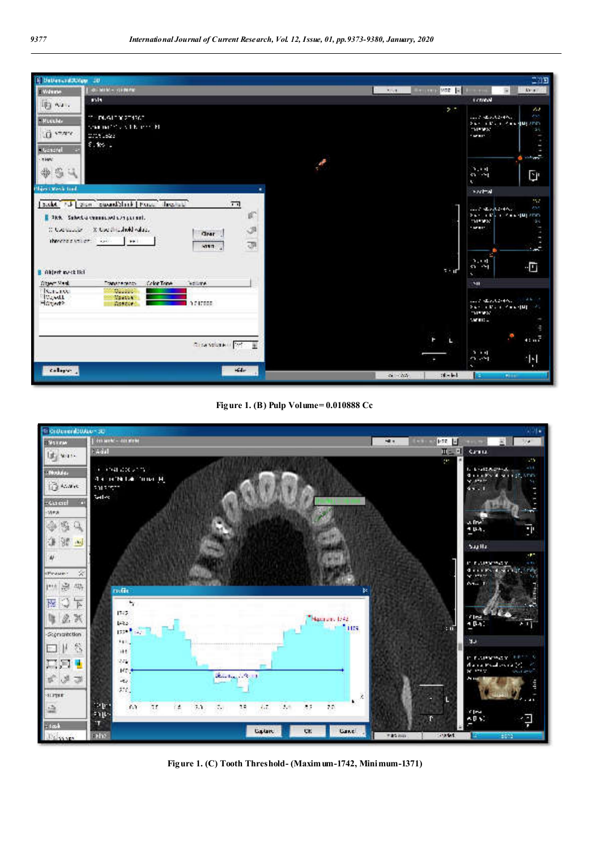





**Figure 1. (C) Tooth Threshold- (Maximum-1742, Minimum-1371)**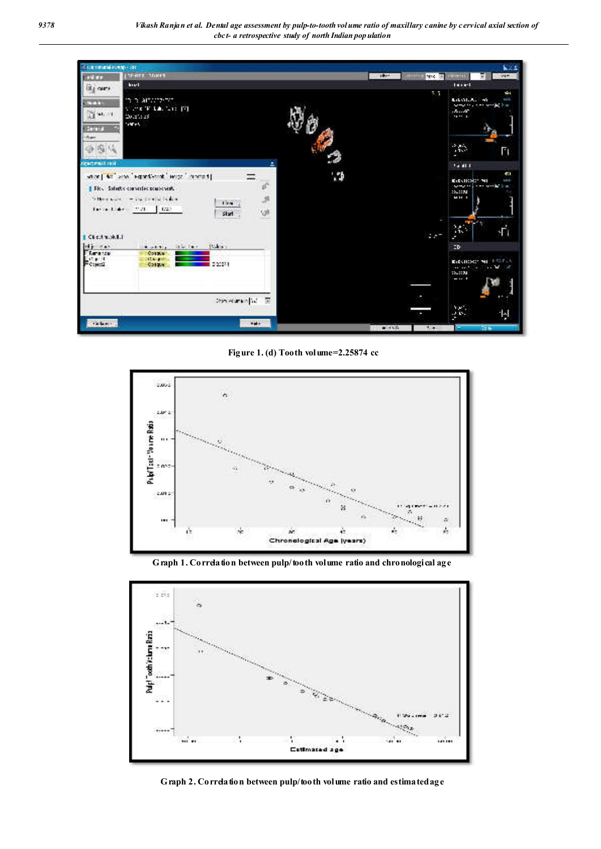| discontrators on      |                                                       |                   |                               | <b>KZS</b>                                                          |
|-----------------------|-------------------------------------------------------|-------------------|-------------------------------|---------------------------------------------------------------------|
| <b>SAM TA</b>         | teers there                                           | <b>CONTRACTOR</b> | <b>HOLL</b><br><b>NR4 (8)</b> | 12490<br>11711<br>R                                                 |
| ity ours              | <b>hour</b>                                           |                   |                               | faret.                                                              |
| <b>STAR</b>           | in in among the                                       |                   | 11                            | è<br>wi<br>Libration, 46                                            |
| 219611                | Viewer Williams (V)                                   |                   |                               | samples, care samples as<br>$1.5 - 10^{2}$                          |
|                       | 200.200.25<br><b>SAFE</b>                             |                   |                               |                                                                     |
| <b>German</b><br>Apr- |                                                       |                   |                               |                                                                     |
| $-25.4$               |                                                       |                   |                               | 265                                                                 |
|                       |                                                       |                   |                               | п<br>٠                                                              |
| <b>STATEMARK</b>      |                                                       |                   |                               | 14,411                                                              |
|                       | stor   40" and "equitional" lerge" concert]           |                   |                               | <b>CI</b><br>ELECTIONS* NO<br><b>LIVE</b>                           |
|                       | ď<br><b>IF Rev.</b> Salactic converted possessionals. |                   |                               | والطافعية فحافل فمارستين<br>$\blacksquare$<br>15,1150               |
| Suffering Artists     | <b>Continued in this</b><br>æ<br>۰<br>15n             |                   |                               | <b>Mill</b> 1                                                       |
|                       | 1.028<br>Detailed that<br>w<br>Start                  |                   |                               |                                                                     |
|                       |                                                       |                   |                               | ٠                                                                   |
| Check work 8.1        |                                                       |                   | $2.5 -$                       | 添<br><b>Th</b><br>٠                                                 |
| <b>We can</b>         | $10.56 +$<br>Sale Tarr<br><b>Block Sty</b>            |                   |                               | ZD.                                                                 |
| Filiancia<br>174.10   | <b>Corpor</b><br><b>NEW BRIT</b>                      |                   |                               | <b>APSPAR</b>                                                       |
| Found                 | 202011<br>Corner                                      |                   |                               | ELECTRICS: NO<br>$\cdots$ M $\cdots$<br>and and the con-<br>10.0000 |
|                       |                                                       |                   |                               | $-11$                                                               |
|                       |                                                       |                   |                               |                                                                     |
|                       | 200 Burning of The                                    |                   |                               | .,                                                                  |
|                       |                                                       |                   |                               | YW.<br>回<br>20.15<br>п                                              |
| rations.              | nate.                                                 | $-1.75$           | With                          | <b>STAR</b>                                                         |
|                       |                                                       |                   |                               |                                                                     |

**Figure 1. (d) Tooth volume=2.25874 cc**



**Graph 1. Correlation between pulp/tooth volume ratio and chronological age**



**Graph 2. Correlation between pulp/tooth volume ratio and estimated age**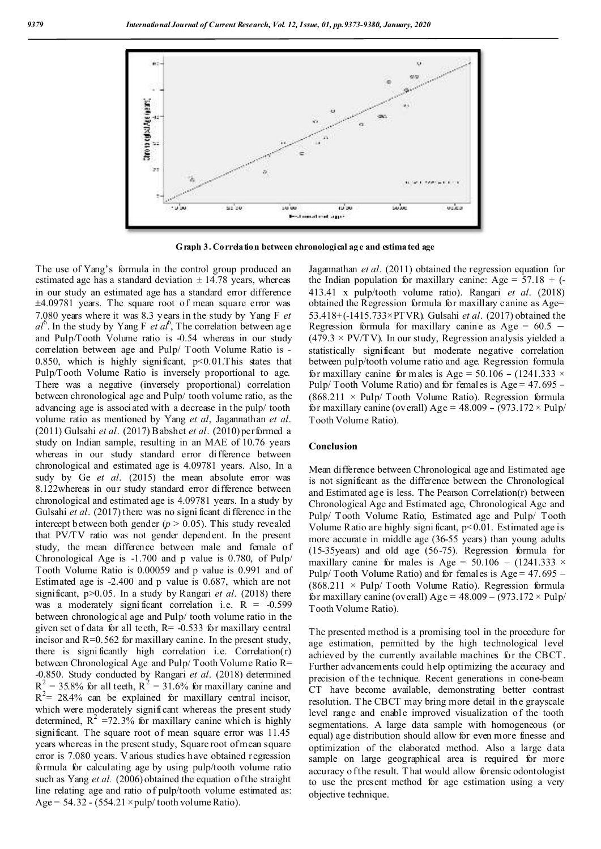

**Graph 3. Correlation between chronological age and estimated age**

The use of Yang's formula in the control group produced an estimated age has a standard deviation  $\pm$  14.78 years, whereas in our study an estimated age has a standard error difference ±4.09781 years. The square root of mean square error was 7.080 years where it was 8.3 years in the study by Yang F *et*   $al^6$ . In the study by Yang F *et al*<sup>6</sup>, The correlation between age and Pulp/Tooth Volume ratio is -0.54 whereas in our study correlation between age and Pulp/ Tooth Volume Ratio is - 0.850, which is highly significant,  $p<0.01$ . This states that Pulp/Tooth Volume Ratio is inversely proportional to age. There was a negative (inversely proportional) correlation between chronological age and Pulp/ tooth volume ratio, as the advancing age is associated with a decrease in the pulp/ tooth volume ratio as mentioned by Yang *et al*, Jagannathan *et al*. (2011) Gulsahi *et al*. (2017) Babshet *et al*. (2010) performed a study on Indian sample, resulting in an MAE of 10.76 years whereas in our study standard error difference between chronological and estimated age is 4.09781 years. Also, In a sudy by Ge *et al*. (2015) the mean absolute error was 8.122whereas in our study standard error difference between chronological and estimated age is 4.09781 years. In a study by Gulsahi *et al.* (2017) there was no significant difference in the intercept b etween both gender  $(p > 0.05)$ . This study revealed that PV/TV ratio was not gender dependent. In the present study, the mean difference between male and female of Chronological Age is -1.700 and p value is 0.780, of Pulp/ Tooth Volume Ratio is 0.00059 and p value is 0.991 and of Estimated age is -2.400 and p value is 0.687, which are not significant, p>0.05. In a study by Rangari *et al*. (2018) there was a moderately significant correlation i.e.  $R = -0.599$ between chronological age and Pulp/ tooth volume ratio in the given set of data for all teeth,  $R = -0.533$  for maxillary central incisor and  $R=0.562$  for maxillary canine. In the present study, there is significantly high correlation i.e. Correlation $(r)$ between Chronological Age and Pulp/ Tooth Volume Ratio R= -0.850. Study conducted by Rangari *et al*. (2018) determined  $R^2 = 35.8\%$  for all teeth,  $R^2 = 31.6\%$  for maxillary canine and  $R^2$  = 28.4% can be explained for maxillary central incisor, which were moderately significant whereas the present study determined,  $R^2 = 72.3\%$  for maxillary canine which is highly significant. The square root of mean square error was 11.45 years whereas in the present study, Square root of mean square error is 7.080 years. V arious studies have obtained regression formula for calculating age by using pulp/tooth volume ratio such as Yang *et al.* (2006) obtained the equation of the straight line relating age and ratio of pulp/tooth volume estimated as: Age =  $54.32 - (554.21 \times \text{pulp/tooth volume Ratio}).$ 

Jagannathan *et al*. (2011) obtained the regression equation for the Indian population for maxillary canine: Age =  $57.18 + (-$ 413.41 x pulp/tooth volume ratio). Rangari *et al*. (2018) obtained the Regression formula for maxillary canine as Age= 53.418+(-1415.733×PTVR). Gulsahi *et al*. (2017) obtained the Regression formula for maxillary canine as Age =  $60.5 (479.3 \times \text{PV/T V})$ . In our study, Regression analysis yielded a statistically significant but moderate negative correlation between pulp/tooth volume ratio and age. Regression formula for maxillary canine for m ales is Age =  $50.106 - (1241.333 \times$ Pulp/ Tooth Volume Ratio) and for females is Age = 47.695 –  $(868.211 \times \text{Pulp}/ \text{Tooth}$  Volume Ratio). Regression formula for maxillary canine (overall) Age =  $48.009 - (973.172 \times \text{Pulp}/$ Tooth Volume Ratio).

#### **Conclusion**

Mean difference between Chronological age and Estimated age is not significant as the difference between the Chronological and Estimated age is less. The Pearson Correlation(r) between Chronological Age and Estimated age, Chronological Age and Pulp/ Tooth Volume Ratio, Estimated age and Pulp/ Tooth Volume Ratio are highly significant,  $p<0.01$ . Estimated age is more accurate in middle age (36-55 years) than young adults (15-35years) and old age (56-75). Regression formula for maxillary canine for males is Age =  $50.106 - (1241.333 \times$ Pulp/ Tooth Volume Ratio) and for females is  $Age = 47.695 (868.211 \times \text{Pulp}/ \text{Tooth}$  Volume Ratio). Regression formula for maxillary canine (overall) Age =  $48.009 - (973.172 \times \text{Pulp}/$ Tooth Volume Ratio).

The presented method is a promising tool in the procedure for age estimation, permitted by the high technological level achieved by the currently available machines for the CBCT. Further advancements could help optimizing the accuracy and precision of the technique. Recent generations in cone-beam CT have become available, demonstrating better contrast resolution. T he CBCT may bring more detail in the grayscale level range and enable improved visualization of the tooth segmentations. A large data sample with homogeneous (or equal) age distribution should allow for even more finesse and optimization of the elaborated method. Also a large data sample on large geographical area is required for more accuracy o f the result. That would allow forensic odontologist to use the present method for age estimation using a very objective technique.